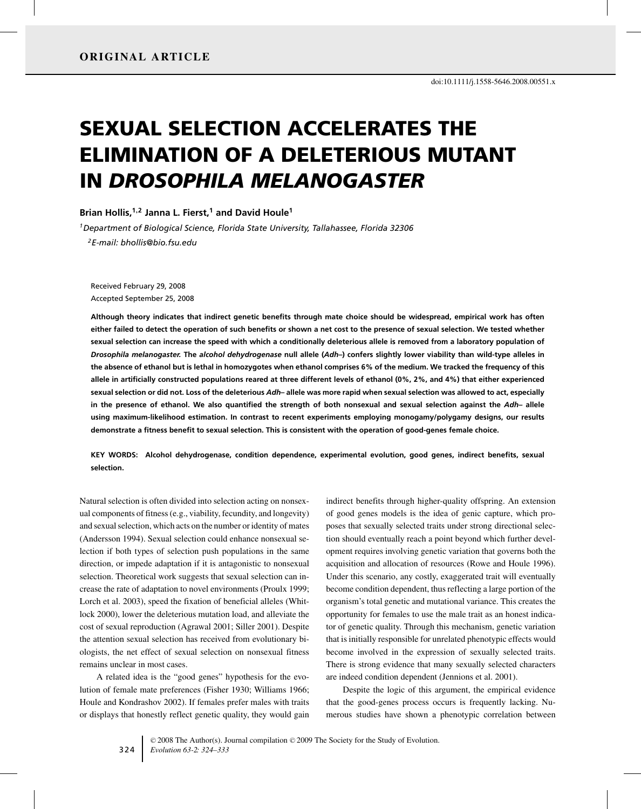# SEXUAL SELECTION ACCELERATES THE ELIMINATION OF A DELETERIOUS MUTANT IN *DROSOPHILA MELANOGASTER*

**Brian Hollis,1,<sup>2</sup> Janna L. Fierst,1 and David Houle1**

*1Department of Biological Science, Florida State University, Tallahassee, Florida 32306 2E-mail: bhollis@bio.fsu.edu*

Received February 29, 2008 Accepted September 25, 2008

**Although theory indicates that indirect genetic benefits through mate choice should be widespread, empirical work has often either failed to detect the operation of such benefits or shown a net cost to the presence of sexual selection. We tested whether sexual selection can increase the speed with which a conditionally deleterious allele is removed from a laboratory population of** *Drosophila melanogaster.* **The** *alcohol dehydrogenase* **null allele (***Adh–***) confers slightly lower viability than wild-type alleles in the absence of ethanol but is lethal in homozygotes when ethanol comprises 6% of the medium. We tracked the frequency of this allele in artificially constructed populations reared at three different levels of ethanol (0%, 2%, and 4%) that either experienced sexual selection or did not. Loss of the deleterious** *Adh–* **allele was more rapid when sexual selection was allowed to act, especially in the presence of ethanol. We also quantified the strength of both nonsexual and sexual selection against the** *Adh–* **allele using maximum-likelihood estimation. In contrast to recent experiments employing monogamy/polygamy designs, our results demonstrate a fitness benefit to sexual selection. This is consistent with the operation of good-genes female choice.**

**KEY WORDS: Alcohol dehydrogenase, condition dependence, experimental evolution, good genes, indirect benefits, sexual selection.**

Natural selection is often divided into selection acting on nonsexual components of fitness (e.g., viability, fecundity, and longevity) and sexual selection, which acts on the number or identity of mates (Andersson 1994). Sexual selection could enhance nonsexual selection if both types of selection push populations in the same direction, or impede adaptation if it is antagonistic to nonsexual selection. Theoretical work suggests that sexual selection can increase the rate of adaptation to novel environments (Proulx 1999; Lorch et al. 2003), speed the fixation of beneficial alleles (Whitlock 2000), lower the deleterious mutation load, and alleviate the cost of sexual reproduction (Agrawal 2001; Siller 2001). Despite the attention sexual selection has received from evolutionary biologists, the net effect of sexual selection on nonsexual fitness remains unclear in most cases.

A related idea is the "good genes" hypothesis for the evolution of female mate preferences (Fisher 1930; Williams 1966; Houle and Kondrashov 2002). If females prefer males with traits or displays that honestly reflect genetic quality, they would gain indirect benefits through higher-quality offspring. An extension of good genes models is the idea of genic capture, which proposes that sexually selected traits under strong directional selection should eventually reach a point beyond which further development requires involving genetic variation that governs both the acquisition and allocation of resources (Rowe and Houle 1996). Under this scenario, any costly, exaggerated trait will eventually become condition dependent, thus reflecting a large portion of the organism's total genetic and mutational variance. This creates the opportunity for females to use the male trait as an honest indicator of genetic quality. Through this mechanism, genetic variation that is initially responsible for unrelated phenotypic effects would become involved in the expression of sexually selected traits. There is strong evidence that many sexually selected characters are indeed condition dependent (Jennions et al. 2001).

Despite the logic of this argument, the empirical evidence that the good-genes process occurs is frequently lacking. Numerous studies have shown a phenotypic correlation between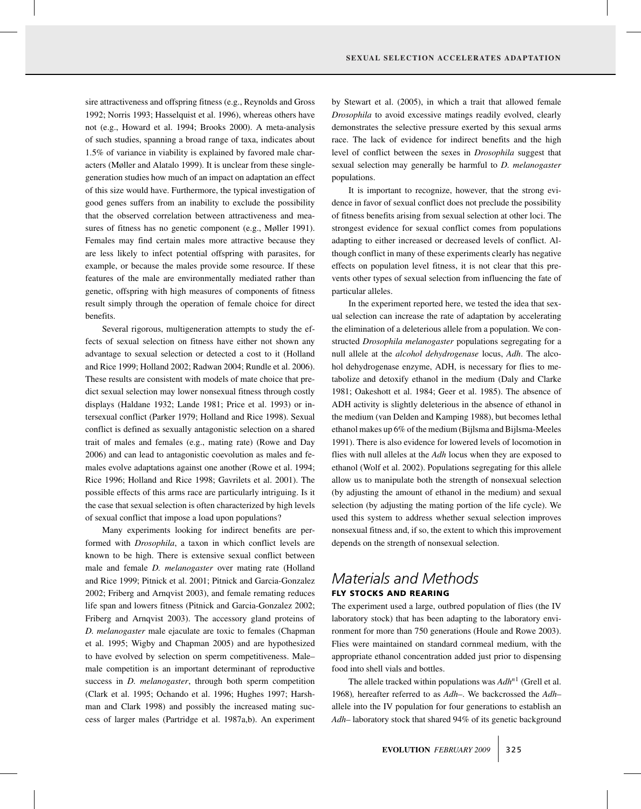sire attractiveness and offspring fitness (e.g., Reynolds and Gross 1992; Norris 1993; Hasselquist et al. 1996), whereas others have not (e.g., Howard et al. 1994; Brooks 2000). A meta-analysis of such studies, spanning a broad range of taxa, indicates about 1.5% of variance in viability is explained by favored male characters (Møller and Alatalo 1999). It is unclear from these singlegeneration studies how much of an impact on adaptation an effect of this size would have. Furthermore, the typical investigation of good genes suffers from an inability to exclude the possibility that the observed correlation between attractiveness and measures of fitness has no genetic component (e.g., Møller 1991). Females may find certain males more attractive because they are less likely to infect potential offspring with parasites, for example, or because the males provide some resource. If these features of the male are environmentally mediated rather than genetic, offspring with high measures of components of fitness result simply through the operation of female choice for direct benefits.

Several rigorous, multigeneration attempts to study the effects of sexual selection on fitness have either not shown any advantage to sexual selection or detected a cost to it (Holland and Rice 1999; Holland 2002; Radwan 2004; Rundle et al. 2006). These results are consistent with models of mate choice that predict sexual selection may lower nonsexual fitness through costly displays (Haldane 1932; Lande 1981; Price et al. 1993) or intersexual conflict (Parker 1979; Holland and Rice 1998). Sexual conflict is defined as sexually antagonistic selection on a shared trait of males and females (e.g., mating rate) (Rowe and Day 2006) and can lead to antagonistic coevolution as males and females evolve adaptations against one another (Rowe et al. 1994; Rice 1996; Holland and Rice 1998; Gavrilets et al. 2001). The possible effects of this arms race are particularly intriguing. Is it the case that sexual selection is often characterized by high levels of sexual conflict that impose a load upon populations?

Many experiments looking for indirect benefits are performed with *Drosophila*, a taxon in which conflict levels are known to be high. There is extensive sexual conflict between male and female *D. melanogaster* over mating rate (Holland and Rice 1999; Pitnick et al. 2001; Pitnick and Garcia-Gonzalez 2002; Friberg and Arnqvist 2003), and female remating reduces life span and lowers fitness (Pitnick and Garcia-Gonzalez 2002; Friberg and Arnqvist 2003). The accessory gland proteins of *D. melanogaster* male ejaculate are toxic to females (Chapman et al. 1995; Wigby and Chapman 2005) and are hypothesized to have evolved by selection on sperm competitiveness. Male– male competition is an important determinant of reproductive success in *D. melanogaster*, through both sperm competition (Clark et al. 1995; Ochando et al. 1996; Hughes 1997; Harshman and Clark 1998) and possibly the increased mating success of larger males (Partridge et al. 1987a,b). An experiment

by Stewart et al. (2005), in which a trait that allowed female *Drosophila* to avoid excessive matings readily evolved, clearly demonstrates the selective pressure exerted by this sexual arms race. The lack of evidence for indirect benefits and the high level of conflict between the sexes in *Drosophila* suggest that sexual selection may generally be harmful to *D. melanogaster* populations.

It is important to recognize, however, that the strong evidence in favor of sexual conflict does not preclude the possibility of fitness benefits arising from sexual selection at other loci. The strongest evidence for sexual conflict comes from populations adapting to either increased or decreased levels of conflict. Although conflict in many of these experiments clearly has negative effects on population level fitness, it is not clear that this prevents other types of sexual selection from influencing the fate of particular alleles.

In the experiment reported here, we tested the idea that sexual selection can increase the rate of adaptation by accelerating the elimination of a deleterious allele from a population. We constructed *Drosophila melanogaster* populations segregating for a null allele at the *alcohol dehydrogenase* locus, *Adh*. The alcohol dehydrogenase enzyme, ADH, is necessary for flies to metabolize and detoxify ethanol in the medium (Daly and Clarke 1981; Oakeshott et al. 1984; Geer et al. 1985). The absence of ADH activity is slightly deleterious in the absence of ethanol in the medium (van Delden and Kamping 1988), but becomes lethal ethanol makes up 6% of the medium (Bijlsma and Bijlsma-Meeles 1991). There is also evidence for lowered levels of locomotion in flies with null alleles at the *Adh* locus when they are exposed to ethanol (Wolf et al. 2002). Populations segregating for this allele allow us to manipulate both the strength of nonsexual selection (by adjusting the amount of ethanol in the medium) and sexual selection (by adjusting the mating portion of the life cycle). We used this system to address whether sexual selection improves nonsexual fitness and, if so, the extent to which this improvement depends on the strength of nonsexual selection.

# *Materials and Methods* FLY STOCKS AND REARING

The experiment used a large, outbred population of flies (the IV laboratory stock) that has been adapting to the laboratory environment for more than 750 generations (Houle and Rowe 2003). Flies were maintained on standard cornmeal medium, with the appropriate ethanol concentration added just prior to dispensing food into shell vials and bottles.

The allele tracked within populations was *Adh<sup>n</sup>*<sup>1</sup> (Grell et al. 1968)*,* hereafter referred to as *Adh–*. We backcrossed the *Adh–* allele into the IV population for four generations to establish an *Adh–* laboratory stock that shared 94% of its genetic background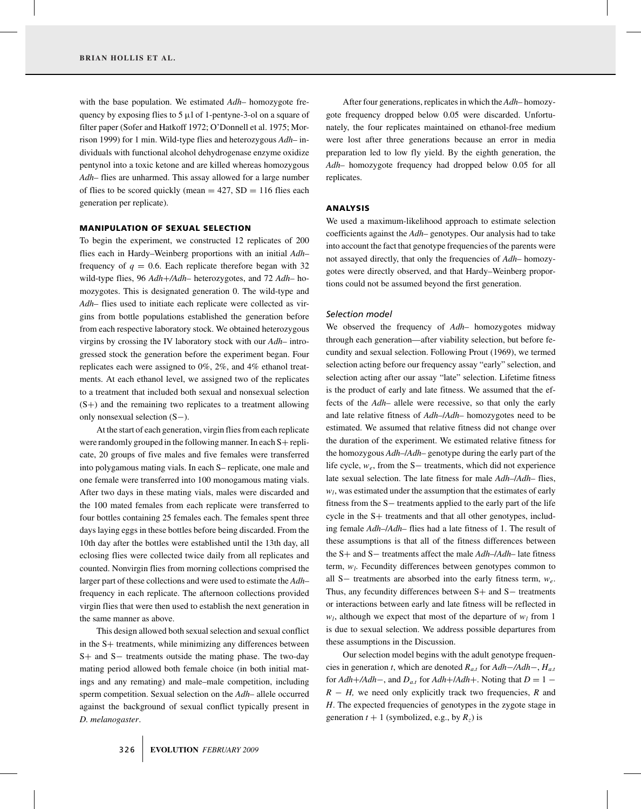with the base population. We estimated *Adh–* homozygote frequency by exposing flies to  $5 \mu l$  of 1-pentyne-3-ol on a square of filter paper (Sofer and Hatkoff 1972; O'Donnell et al. 1975; Morrison 1999) for 1 min. Wild-type flies and heterozygous *Adh–* individuals with functional alcohol dehydrogenase enzyme oxidize pentynol into a toxic ketone and are killed whereas homozygous *Adh–* flies are unharmed. This assay allowed for a large number of flies to be scored quickly (mean  $= 427$ , SD  $= 116$  flies each generation per replicate).

### MANIPULATION OF SEXUAL SELECTION

To begin the experiment, we constructed 12 replicates of 200 flies each in Hardy–Weinberg proportions with an initial *Adh–* frequency of  $q = 0.6$ . Each replicate therefore began with 32 wild-type flies, 96 *Adh*+*/Adh–* heterozygotes, and 72 *Adh–* homozygotes. This is designated generation 0. The wild-type and *Adh–* flies used to initiate each replicate were collected as virgins from bottle populations established the generation before from each respective laboratory stock. We obtained heterozygous virgins by crossing the IV laboratory stock with our *Adh–* introgressed stock the generation before the experiment began. Four replicates each were assigned to 0%, 2%, and 4% ethanol treatments. At each ethanol level, we assigned two of the replicates to a treatment that included both sexual and nonsexual selection (S+) and the remaining two replicates to a treatment allowing only nonsexual selection (S−).

At the start of each generation, virgin flies from each replicate were randomly grouped in the following manner. In each S+ replicate, 20 groups of five males and five females were transferred into polygamous mating vials. In each S– replicate, one male and one female were transferred into 100 monogamous mating vials. After two days in these mating vials, males were discarded and the 100 mated females from each replicate were transferred to four bottles containing 25 females each. The females spent three days laying eggs in these bottles before being discarded. From the 10th day after the bottles were established until the 13th day, all eclosing flies were collected twice daily from all replicates and counted. Nonvirgin flies from morning collections comprised the larger part of these collections and were used to estimate the *Adh–* frequency in each replicate. The afternoon collections provided virgin flies that were then used to establish the next generation in the same manner as above.

This design allowed both sexual selection and sexual conflict in the S+ treatments, while minimizing any differences between S+ and S− treatments outside the mating phase. The two-day mating period allowed both female choice (in both initial matings and any remating) and male–male competition, including sperm competition. Sexual selection on the *Adh*– allele occurred against the background of sexual conflict typically present in *D. melanogaster*.

After four generations, replicates in which the *Adh–* homozygote frequency dropped below 0.05 were discarded. Unfortunately, the four replicates maintained on ethanol-free medium were lost after three generations because an error in media preparation led to low fly yield. By the eighth generation, the *Adh–* homozygote frequency had dropped below 0.05 for all replicates.

## ANALYSIS

We used a maximum-likelihood approach to estimate selection coefficients against the *Adh–* genotypes. Our analysis had to take into account the fact that genotype frequencies of the parents were not assayed directly, that only the frequencies of *Adh–* homozygotes were directly observed, and that Hardy–Weinberg proportions could not be assumed beyond the first generation.

#### *Selection model*

We observed the frequency of *Adh–* homozygotes midway through each generation—after viability selection, but before fecundity and sexual selection. Following Prout (1969), we termed selection acting before our frequency assay "early" selection, and selection acting after our assay "late" selection. Lifetime fitness is the product of early and late fitness. We assumed that the effects of the *Adh–* allele were recessive, so that only the early and late relative fitness of *Adh–*/*Adh–* homozygotes need to be estimated. We assumed that relative fitness did not change over the duration of the experiment. We estimated relative fitness for the homozygous *Adh–*/*Adh–* genotype during the early part of the life cycle, *we*, from the S− treatments, which did not experience late sexual selection. The late fitness for male *Adh–*/*Adh–* flies, *wl*, was estimated under the assumption that the estimates of early fitness from the S− treatments applied to the early part of the life cycle in the S+ treatments and that all other genotypes, including female *Adh–*/*Adh–* flies had a late fitness of 1. The result of these assumptions is that all of the fitness differences between the S+ and S− treatments affect the male *Adh–*/*Adh–* late fitness term,  $w_l$ . Fecundity differences between genotypes common to all S− treatments are absorbed into the early fitness term, *we*. Thus, any fecundity differences between S+ and S− treatments or interactions between early and late fitness will be reflected in  $w_l$ , although we expect that most of the departure of  $w_l$  from 1 is due to sexual selection. We address possible departures from these assumptions in the Discussion.

Our selection model begins with the adult genotype frequencies in generation *t*, which are denoted *Ra*.*<sup>t</sup>* for *Adh*−*/Adh*−, *Ha*.*<sup>t</sup>* for  $Adh+ /Adh-$ , and  $D_{a,t}$  for  $Adh+ /Adh+$ . Noting that  $D = 1 -$ *R* − *H*, we need only explicitly track two frequencies, *R* and *H*. The expected frequencies of genotypes in the zygote stage in generation  $t + 1$  (symbolized, e.g., by  $R_z$ ) is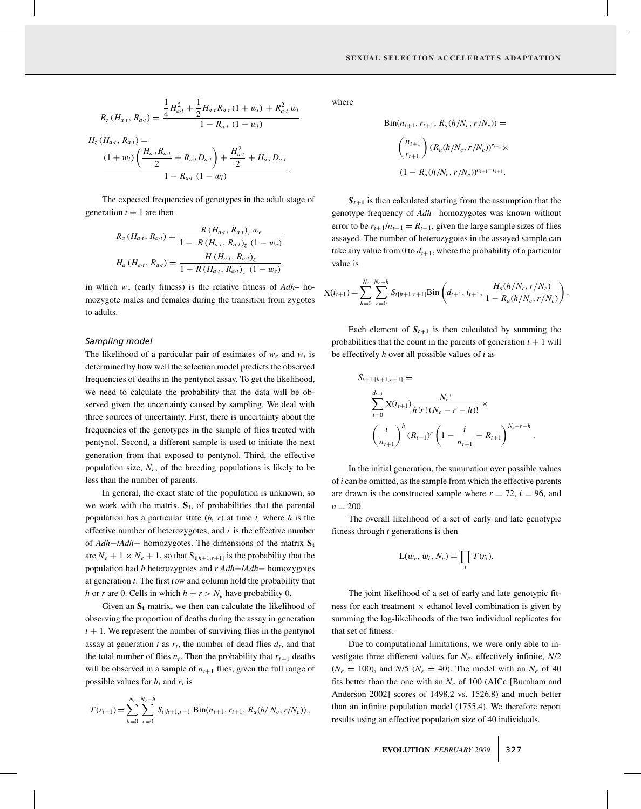$$
R_{z}(H_{a\cdot t}, R_{a\cdot t}) = \frac{\frac{1}{4}H_{a\cdot t}^{2} + \frac{1}{2}H_{a\cdot t}R_{a\cdot t}(1+w_{l}) + R_{a\cdot t}^{2}w_{l}}{1 - R_{a\cdot t}(1-w_{l})}
$$

$$
H_z(H_{a\cdot t}, R_{a\cdot t}) =
$$
  
\n
$$
\frac{(1+w_l)\left(\frac{H_{a\cdot t}R_{a\cdot t}}{2} + R_{a\cdot t}D_{a\cdot t}\right) + \frac{H_{a\cdot t}^2}{2} + H_{a\cdot t}D_{a\cdot t}}{1 - R_{a\cdot t}(1-w_l)}.
$$

The expected frequencies of genotypes in the adult stage of generation  $t + 1$  are then

$$
R_a(H_{a\cdot t}, R_{a\cdot t}) = \frac{R(H_{a\cdot t}, R_{a\cdot t})_z w_e}{1 - R(H_{a\cdot t}, R_{a\cdot t})_z (1 - w_e)}
$$
  

$$
H_a(H_{a\cdot t}, R_{a\cdot t}) = \frac{H(H_{a\cdot t}, R_{a\cdot t})_z}{1 - R(H_{a\cdot t}, R_{a\cdot t})_z (1 - w_e)},
$$

in which *we* (early fitness) is the relative fitness of *Adh–* homozygote males and females during the transition from zygotes to adults.

## *Sampling model*

The likelihood of a particular pair of estimates of  $w_e$  and  $w_l$  is determined by how well the selection model predicts the observed frequencies of deaths in the pentynol assay. To get the likelihood, we need to calculate the probability that the data will be observed given the uncertainty caused by sampling. We deal with three sources of uncertainty. First, there is uncertainty about the frequencies of the genotypes in the sample of flies treated with pentynol. Second, a different sample is used to initiate the next generation from that exposed to pentynol. Third, the effective population size,  $N_e$ , of the breeding populations is likely to be less than the number of parents.

In general, the exact state of the population is unknown, so we work with the matrix,  $S_t$ , of probabilities that the parental population has a particular state (*h, r*) at time *t,* where *h* is the effective number of heterozygotes, and *r* is the effective number of *Adh*−/*Adh*− homozygotes. The dimensions of the matrix **St** are  $N_e + 1 \times N_e + 1$ , so that  $S_{t[h+1,r+1]}$  is the probability that the population had *h* heterozygotes and *r Adh*−/*Adh*− homozygotes at generation *t*. The first row and column hold the probability that *h* or *r* are 0. Cells in which  $h + r > N_e$  have probability 0.

Given an  $S_t$  matrix, we then can calculate the likelihood of observing the proportion of deaths during the assay in generation  $t + 1$ . We represent the number of surviving flies in the pentynol assay at generation *t* as  $r_t$ , the number of dead flies  $d_t$ , and that the total number of flies  $n_t$ . Then the probability that  $r_{t+1}$  deaths will be observed in a sample of  $n_{t+1}$  flies, given the full range of possible values for  $h_t$  and  $r_t$  is

$$
T(r_{t+1}) = \sum_{h=0}^{N_e} \sum_{r=0}^{N_e-h} S_{t[h+1,r+1]} Bin(n_{t+1}, r_{t+1}, R_a(h/N_e, r/N_e)),
$$

where

Bin(
$$
n_{t+1}
$$
,  $r_{t+1}$ ,  $R_a(h/N_e, r/N_e)$ ) =  
\n
$$
\binom{n_{t+1}}{r_{t+1}} (R_a(h/N_e, r/N_e))^{r_{t+1}} \times
$$
\n
$$
(1 - R_a(h/N_e, r/N_e))^{n_{t+1} - r_{t+1}}.
$$

 $S_{t+1}$  is then calculated starting from the assumption that the genotype frequency of *Adh–* homozygotes was known without error to be  $r_{t+1}/n_{t+1} = R_{t+1}$ , given the large sample sizes of flies assayed. The number of heterozygotes in the assayed sample can take any value from 0 to  $d_{t+1}$ , where the probability of a particular value is

$$
X(i_{t+1}) = \sum_{h=0}^{N_e} \sum_{r=0}^{N_e - h} S_{t[h+1,r+1]} Bin\left(d_{t+1}, i_{t+1}, \frac{H_a(h/N_e, r/N_e)}{1 - R_a(h/N_e, r/N_e)}\right)
$$

.

.

Each element of  $S_{t+1}$  is then calculated by summing the probabilities that the count in the parents of generation  $t + 1$  will be effectively *h* over all possible values of *i* as

$$
S_{t+1-[h+1,r+1]} = \frac{N_e!}{\sum_{i=0}^{d_{t+1}} X(i_{t+1}) \frac{N_e!}{h!r!(N_e - r - h)!}} \times \left(\frac{i}{n_{t+1}}\right)^h (R_{t+1})^r \left(1 - \frac{i}{n_{t+1}} - R_{t+1}\right)^{N_e - r - h}
$$

In the initial generation, the summation over possible values of *i* can be omitted, as the sample from which the effective parents are drawn is the constructed sample where  $r = 72$ ,  $i = 96$ , and  $n = 200$ .

The overall likelihood of a set of early and late genotypic fitness through *t* generations is then

$$
L(w_e, w_l, N_e) = \prod_t T(r_t).
$$

The joint likelihood of a set of early and late genotypic fitness for each treatment  $\times$  ethanol level combination is given by summing the log-likelihoods of the two individual replicates for that set of fitness.

Due to computational limitations, we were only able to investigate three different values for *Ne*, effectively infinite, *N*/2  $(N_e = 100)$ , and *N*/5 ( $N_e = 40$ ). The model with an  $N_e$  of 40 fits better than the one with an  $N_e$  of 100 (AICc [Burnham and Anderson 2002] scores of 1498.2 vs. 1526.8) and much better than an infinite population model (1755.4). We therefore report results using an effective population size of 40 individuals.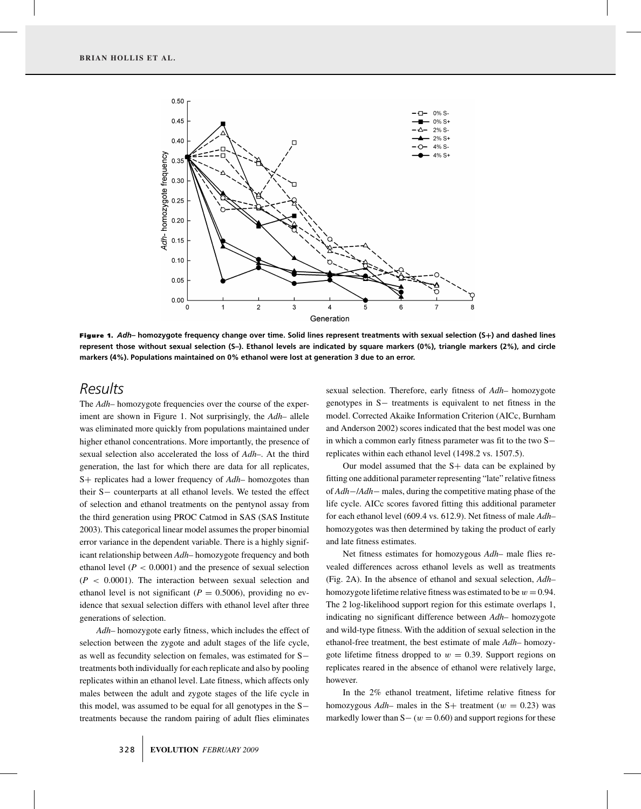

Figure 1. *Adh–* **homozygote frequency change over time. Solid lines represent treatments with sexual selection (S+) and dashed lines represent those without sexual selection (S–). Ethanol levels are indicated by square markers (0%), triangle markers (2%), and circle markers (4%). Populations maintained on 0% ethanol were lost at generation 3 due to an error.**

## *Results*

The *Adh–* homozygote frequencies over the course of the experiment are shown in Figure 1. Not surprisingly, the *Adh–* allele was eliminated more quickly from populations maintained under higher ethanol concentrations. More importantly, the presence of sexual selection also accelerated the loss of *Adh–*. At the third generation, the last for which there are data for all replicates, S+ replicates had a lower frequency of *Adh–* homozgotes than their S− counterparts at all ethanol levels. We tested the effect of selection and ethanol treatments on the pentynol assay from the third generation using PROC Catmod in SAS (SAS Institute 2003). This categorical linear model assumes the proper binomial error variance in the dependent variable. There is a highly significant relationship between *Adh–* homozygote frequency and both ethanol level ( $P < 0.0001$ ) and the presence of sexual selection (*P* < 0.0001). The interaction between sexual selection and ethanol level is not significant ( $P = 0.5006$ ), providing no evidence that sexual selection differs with ethanol level after three generations of selection.

*Adh–* homozygote early fitness, which includes the effect of selection between the zygote and adult stages of the life cycle, as well as fecundity selection on females, was estimated for S− treatments both individually for each replicate and also by pooling replicates within an ethanol level. Late fitness, which affects only males between the adult and zygote stages of the life cycle in this model, was assumed to be equal for all genotypes in the S− treatments because the random pairing of adult flies eliminates sexual selection. Therefore, early fitness of *Adh–* homozygote genotypes in S− treatments is equivalent to net fitness in the model. Corrected Akaike Information Criterion (AICc, Burnham and Anderson 2002) scores indicated that the best model was one in which a common early fitness parameter was fit to the two S− replicates within each ethanol level (1498.2 vs. 1507.5).

Our model assumed that the S+ data can be explained by fitting one additional parameter representing "late" relative fitness of *Adh*−/*Adh*− males, during the competitive mating phase of the life cycle. AICc scores favored fitting this additional parameter for each ethanol level (609.4 vs. 612.9). Net fitness of male *Adh–* homozygotes was then determined by taking the product of early and late fitness estimates.

Net fitness estimates for homozygous *Adh–* male flies revealed differences across ethanol levels as well as treatments (Fig. 2A). In the absence of ethanol and sexual selection, *Adh–* homozygote lifetime relative fitness was estimated to be  $w = 0.94$ . The 2 log-likelihood support region for this estimate overlaps 1, indicating no significant difference between *Adh–* homozygote and wild-type fitness. With the addition of sexual selection in the ethanol-free treatment, the best estimate of male *Adh–* homozygote lifetime fitness dropped to  $w = 0.39$ . Support regions on replicates reared in the absence of ethanol were relatively large, however.

In the 2% ethanol treatment, lifetime relative fitness for homozygous *Adh*–– males in the S+ treatment ( $w = 0.23$ ) was markedly lower than  $S - (w = 0.60)$  and support regions for these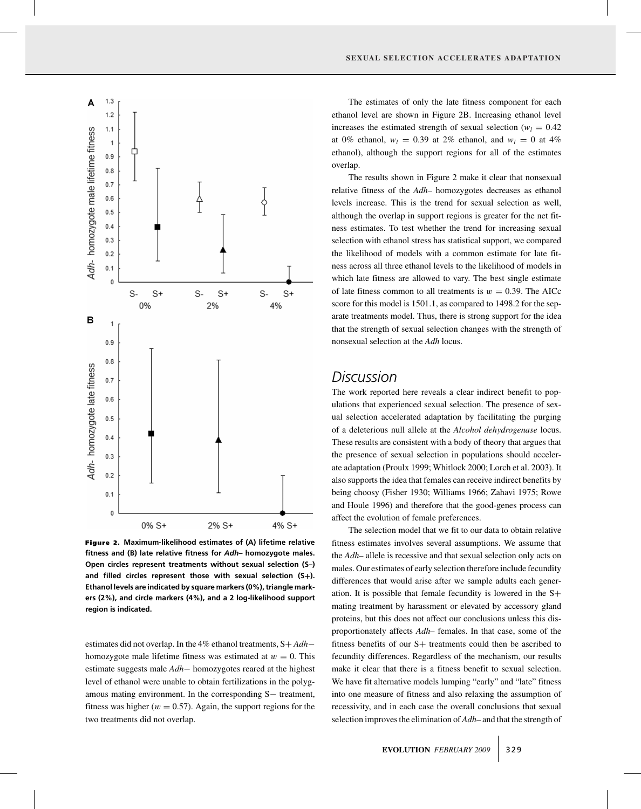

Figure 2. **Maximum-likelihood estimates of (A) lifetime relative fitness and (B) late relative fitness for** *Adh–* **homozygote males. Open circles represent treatments without sexual selection (S–) and filled circles represent those with sexual selection (S+). Ethanol levels are indicated by square markers (0%), triangle markers (2%), and circle markers (4%), and a 2 log-likelihood support region is indicated.**

estimates did not overlap. In the 4% ethanol treatments, S+ *Adh*− homozygote male lifetime fitness was estimated at  $w = 0$ . This estimate suggests male *Adh*− homozygotes reared at the highest level of ethanol were unable to obtain fertilizations in the polygamous mating environment. In the corresponding S− treatment, fitness was higher ( $w = 0.57$ ). Again, the support regions for the two treatments did not overlap.

The estimates of only the late fitness component for each ethanol level are shown in Figure 2B. Increasing ethanol level increases the estimated strength of sexual selection ( $w_l = 0.42$ ) at 0% ethanol,  $w_l = 0.39$  at 2% ethanol, and  $w_l = 0$  at 4% ethanol), although the support regions for all of the estimates overlap.

The results shown in Figure 2 make it clear that nonsexual relative fitness of the *Adh–* homozygotes decreases as ethanol levels increase. This is the trend for sexual selection as well, although the overlap in support regions is greater for the net fitness estimates. To test whether the trend for increasing sexual selection with ethanol stress has statistical support, we compared the likelihood of models with a common estimate for late fitness across all three ethanol levels to the likelihood of models in which late fitness are allowed to vary. The best single estimate of late fitness common to all treatments is  $w = 0.39$ . The AICc score for this model is 1501.1, as compared to 1498.2 for the separate treatments model. Thus, there is strong support for the idea that the strength of sexual selection changes with the strength of nonsexual selection at the *Adh* locus.

# *Discussion*

The work reported here reveals a clear indirect benefit to populations that experienced sexual selection. The presence of sexual selection accelerated adaptation by facilitating the purging of a deleterious null allele at the *Alcohol dehydrogenase* locus. These results are consistent with a body of theory that argues that the presence of sexual selection in populations should accelerate adaptation (Proulx 1999; Whitlock 2000; Lorch et al. 2003). It also supports the idea that females can receive indirect benefits by being choosy (Fisher 1930; Williams 1966; Zahavi 1975; Rowe and Houle 1996) and therefore that the good-genes process can affect the evolution of female preferences.

The selection model that we fit to our data to obtain relative fitness estimates involves several assumptions. We assume that the *Adh–* allele is recessive and that sexual selection only acts on males. Our estimates of early selection therefore include fecundity differences that would arise after we sample adults each generation. It is possible that female fecundity is lowered in the S+ mating treatment by harassment or elevated by accessory gland proteins, but this does not affect our conclusions unless this disproportionately affects *Adh–* females. In that case, some of the fitness benefits of our S+ treatments could then be ascribed to fecundity differences. Regardless of the mechanism, our results make it clear that there is a fitness benefit to sexual selection. We have fit alternative models lumping "early" and "late" fitness into one measure of fitness and also relaxing the assumption of recessivity, and in each case the overall conclusions that sexual selection improves the elimination of *Adh–* and that the strength of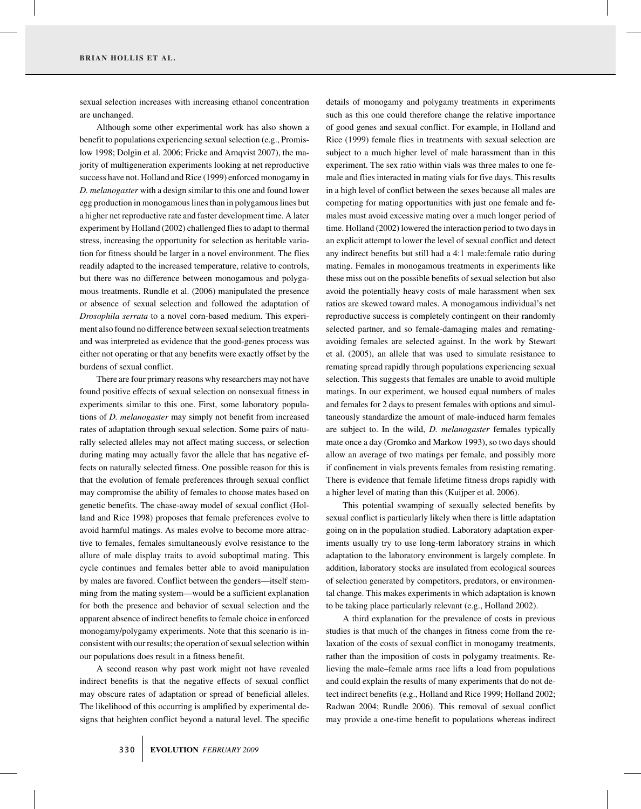sexual selection increases with increasing ethanol concentration are unchanged.

Although some other experimental work has also shown a benefit to populations experiencing sexual selection (e.g., Promislow 1998; Dolgin et al. 2006; Fricke and Arnqvist 2007), the majority of multigeneration experiments looking at net reproductive success have not. Holland and Rice (1999) enforced monogamy in *D. melanogaster* with a design similar to this one and found lower egg production in monogamous lines than in polygamous lines but a higher net reproductive rate and faster development time. A later experiment by Holland (2002) challenged flies to adapt to thermal stress, increasing the opportunity for selection as heritable variation for fitness should be larger in a novel environment. The flies readily adapted to the increased temperature, relative to controls, but there was no difference between monogamous and polygamous treatments. Rundle et al. (2006) manipulated the presence or absence of sexual selection and followed the adaptation of *Drosophila serrata* to a novel corn-based medium. This experiment also found no difference between sexual selection treatments and was interpreted as evidence that the good-genes process was either not operating or that any benefits were exactly offset by the burdens of sexual conflict.

There are four primary reasons why researchers may not have found positive effects of sexual selection on nonsexual fitness in experiments similar to this one. First, some laboratory populations of *D. melanogaster* may simply not benefit from increased rates of adaptation through sexual selection. Some pairs of naturally selected alleles may not affect mating success, or selection during mating may actually favor the allele that has negative effects on naturally selected fitness. One possible reason for this is that the evolution of female preferences through sexual conflict may compromise the ability of females to choose mates based on genetic benefits. The chase-away model of sexual conflict (Holland and Rice 1998) proposes that female preferences evolve to avoid harmful matings. As males evolve to become more attractive to females, females simultaneously evolve resistance to the allure of male display traits to avoid suboptimal mating. This cycle continues and females better able to avoid manipulation by males are favored. Conflict between the genders—itself stemming from the mating system—would be a sufficient explanation for both the presence and behavior of sexual selection and the apparent absence of indirect benefits to female choice in enforced monogamy/polygamy experiments. Note that this scenario is inconsistent with our results; the operation of sexual selection within our populations does result in a fitness benefit.

A second reason why past work might not have revealed indirect benefits is that the negative effects of sexual conflict may obscure rates of adaptation or spread of beneficial alleles. The likelihood of this occurring is amplified by experimental designs that heighten conflict beyond a natural level. The specific

330 **EVOLUTION** *FEBRUARY 2009*

details of monogamy and polygamy treatments in experiments such as this one could therefore change the relative importance of good genes and sexual conflict. For example, in Holland and Rice (1999) female flies in treatments with sexual selection are subject to a much higher level of male harassment than in this experiment. The sex ratio within vials was three males to one female and flies interacted in mating vials for five days. This results in a high level of conflict between the sexes because all males are competing for mating opportunities with just one female and females must avoid excessive mating over a much longer period of time. Holland (2002) lowered the interaction period to two days in an explicit attempt to lower the level of sexual conflict and detect any indirect benefits but still had a 4:1 male:female ratio during mating. Females in monogamous treatments in experiments like these miss out on the possible benefits of sexual selection but also avoid the potentially heavy costs of male harassment when sex ratios are skewed toward males. A monogamous individual's net reproductive success is completely contingent on their randomly selected partner, and so female-damaging males and rematingavoiding females are selected against. In the work by Stewart et al. (2005), an allele that was used to simulate resistance to remating spread rapidly through populations experiencing sexual selection. This suggests that females are unable to avoid multiple matings. In our experiment, we housed equal numbers of males and females for 2 days to present females with options and simultaneously standardize the amount of male-induced harm females are subject to. In the wild, *D. melanogaster* females typically mate once a day (Gromko and Markow 1993), so two days should allow an average of two matings per female, and possibly more if confinement in vials prevents females from resisting remating. There is evidence that female lifetime fitness drops rapidly with a higher level of mating than this (Kuijper et al. 2006).

This potential swamping of sexually selected benefits by sexual conflict is particularly likely when there is little adaptation going on in the population studied. Laboratory adaptation experiments usually try to use long-term laboratory strains in which adaptation to the laboratory environment is largely complete. In addition, laboratory stocks are insulated from ecological sources of selection generated by competitors, predators, or environmental change. This makes experiments in which adaptation is known to be taking place particularly relevant (e.g., Holland 2002).

A third explanation for the prevalence of costs in previous studies is that much of the changes in fitness come from the relaxation of the costs of sexual conflict in monogamy treatments, rather than the imposition of costs in polygamy treatments. Relieving the male–female arms race lifts a load from populations and could explain the results of many experiments that do not detect indirect benefits (e.g., Holland and Rice 1999; Holland 2002; Radwan 2004; Rundle 2006). This removal of sexual conflict may provide a one-time benefit to populations whereas indirect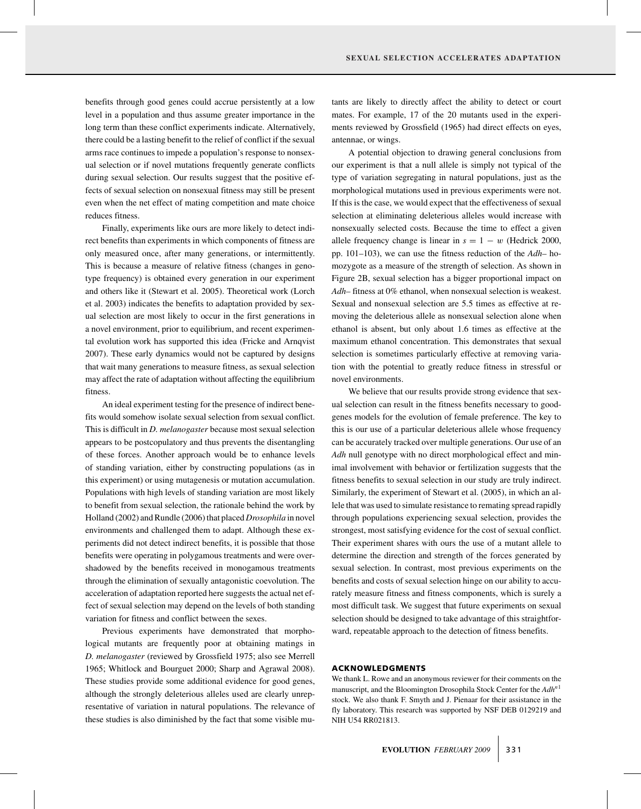benefits through good genes could accrue persistently at a low level in a population and thus assume greater importance in the long term than these conflict experiments indicate. Alternatively, there could be a lasting benefit to the relief of conflict if the sexual arms race continues to impede a population's response to nonsexual selection or if novel mutations frequently generate conflicts during sexual selection. Our results suggest that the positive effects of sexual selection on nonsexual fitness may still be present even when the net effect of mating competition and mate choice reduces fitness.

Finally, experiments like ours are more likely to detect indirect benefits than experiments in which components of fitness are only measured once, after many generations, or intermittently. This is because a measure of relative fitness (changes in genotype frequency) is obtained every generation in our experiment and others like it (Stewart et al. 2005). Theoretical work (Lorch et al. 2003) indicates the benefits to adaptation provided by sexual selection are most likely to occur in the first generations in a novel environment, prior to equilibrium, and recent experimental evolution work has supported this idea (Fricke and Arnqvist 2007). These early dynamics would not be captured by designs that wait many generations to measure fitness, as sexual selection may affect the rate of adaptation without affecting the equilibrium fitness.

An ideal experiment testing for the presence of indirect benefits would somehow isolate sexual selection from sexual conflict. This is difficult in *D. melanogaster* because most sexual selection appears to be postcopulatory and thus prevents the disentangling of these forces. Another approach would be to enhance levels of standing variation, either by constructing populations (as in this experiment) or using mutagenesis or mutation accumulation. Populations with high levels of standing variation are most likely to benefit from sexual selection, the rationale behind the work by Holland (2002) and Rundle (2006) that placed *Drosophila* in novel environments and challenged them to adapt. Although these experiments did not detect indirect benefits, it is possible that those benefits were operating in polygamous treatments and were overshadowed by the benefits received in monogamous treatments through the elimination of sexually antagonistic coevolution. The acceleration of adaptation reported here suggests the actual net effect of sexual selection may depend on the levels of both standing variation for fitness and conflict between the sexes.

Previous experiments have demonstrated that morphological mutants are frequently poor at obtaining matings in *D. melanogaster* (reviewed by Grossfield 1975; also see Merrell 1965; Whitlock and Bourguet 2000; Sharp and Agrawal 2008). These studies provide some additional evidence for good genes, although the strongly deleterious alleles used are clearly unrepresentative of variation in natural populations. The relevance of these studies is also diminished by the fact that some visible mutants are likely to directly affect the ability to detect or court mates. For example, 17 of the 20 mutants used in the experiments reviewed by Grossfield (1965) had direct effects on eyes, antennae, or wings.

A potential objection to drawing general conclusions from our experiment is that a null allele is simply not typical of the type of variation segregating in natural populations, just as the morphological mutations used in previous experiments were not. If this is the case, we would expect that the effectiveness of sexual selection at eliminating deleterious alleles would increase with nonsexually selected costs. Because the time to effect a given allele frequency change is linear in  $s = 1 - w$  (Hedrick 2000, pp. 101–103), we can use the fitness reduction of the *Adh–* homozygote as a measure of the strength of selection. As shown in Figure 2B, sexual selection has a bigger proportional impact on *Adh–* fitness at 0% ethanol, when nonsexual selection is weakest. Sexual and nonsexual selection are 5.5 times as effective at removing the deleterious allele as nonsexual selection alone when ethanol is absent, but only about 1.6 times as effective at the maximum ethanol concentration. This demonstrates that sexual selection is sometimes particularly effective at removing variation with the potential to greatly reduce fitness in stressful or novel environments.

We believe that our results provide strong evidence that sexual selection can result in the fitness benefits necessary to goodgenes models for the evolution of female preference. The key to this is our use of a particular deleterious allele whose frequency can be accurately tracked over multiple generations. Our use of an *Adh* null genotype with no direct morphological effect and minimal involvement with behavior or fertilization suggests that the fitness benefits to sexual selection in our study are truly indirect. Similarly, the experiment of Stewart et al. (2005), in which an allele that was used to simulate resistance to remating spread rapidly through populations experiencing sexual selection, provides the strongest, most satisfying evidence for the cost of sexual conflict. Their experiment shares with ours the use of a mutant allele to determine the direction and strength of the forces generated by sexual selection. In contrast, most previous experiments on the benefits and costs of sexual selection hinge on our ability to accurately measure fitness and fitness components, which is surely a most difficult task. We suggest that future experiments on sexual selection should be designed to take advantage of this straightforward, repeatable approach to the detection of fitness benefits.

#### ACKNOWLEDGMENTS

We thank L. Rowe and an anonymous reviewer for their comments on the manuscript, and the Bloomington Drosophila Stock Center for the *Adhn*<sup>1</sup> stock. We also thank F. Smyth and J. Pienaar for their assistance in the fly laboratory. This research was supported by NSF DEB 0129219 and NIH U54 RR021813.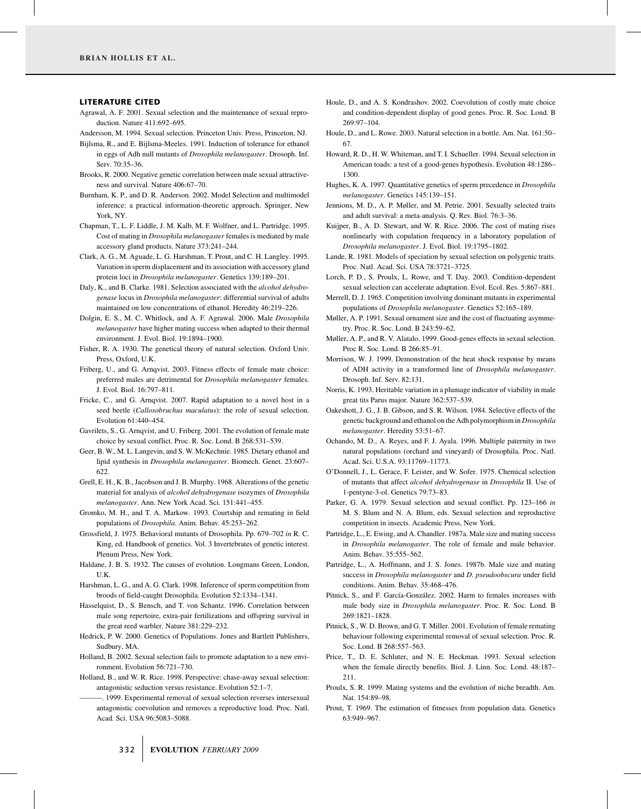#### LITERATURE CITED

- Agrawal, A. F. 2001. Sexual selection and the maintenance of sexual reproduction. Nature 411:692–695.
- Andersson, M. 1994. Sexual selection. Princeton Univ. Press, Princeton, NJ.
- Bijlsma, R., and E. Bijlsma-Meeles. 1991. Induction of tolerance for ethanol in eggs of Adh null mutants of *Drosophila melanogaster*. Drosoph. Inf. Serv. 70:35–36.
- Brooks, R. 2000. Negative genetic correlation between male sexual attractiveness and survival. Nature 406:67–70.
- Burnham, K. P., and D. R. Anderson. 2002. Model Selection and multimodel inference: a practical information-theoretic approach. Springer, New York, NY.
- Chapman, T., L. F. Liddle, J. M. Kalb, M. F. Wolfner, and L. Partridge. 1995. Cost of mating in *Drosophila melanogaster* females is mediated by male accessory gland products. Nature 373:241–244.
- Clark, A. G., M. Aguade, L. G. Harshman, T. Prout, and C. H. Langley. 1995. Variation in sperm displacement and its association with accessory gland protein loci in *Drosophila melanogaster*. Genetics 139:189–201.
- Daly, K., and B. Clarke. 1981. Selection associated with the *alcohol dehydrogenase* locus in *Drosophila melanogaster*: differential survival of adults maintained on low concentrations of ethanol. Heredity 46:219–226.
- Dolgin, E. S., M. C. Whitlock, and A. F. Agrawal. 2006. Male *Drosophila melanogaster* have higher mating success when adapted to their thermal environment. J. Evol. Biol. 19:1894–1900.
- Fisher, R. A. 1930. The genetical theory of natural selection. Oxford Univ. Press, Oxford, U.K.
- Friberg, U., and G. Arnqvist. 2003. Fitness effects of female mate choice: preferred males are detrimental for *Drosophila melanogaster* females. J. Evol. Biol. 16:797–811.
- Fricke, C., and G. Arnqvist. 2007. Rapid adaptation to a novel host in a seed beetle (*Callosobruchus maculatus*): the role of sexual selection. Evolution 61:440–454.
- Gavrilets, S., G. Arnqvist, and U. Friberg. 2001. The evolution of female mate choice by sexual conflict. Proc. R. Soc. Lond. B 268:531–539.
- Geer, B. W., M. L. Langevin, and S. W. McKechnie. 1985. Dietary ethanol and lipid synthesis in *Drosophila melanogaster*. Biomech. Genet. 23:607– 622.
- Grell, E. H., K. B., Jacobson and J. B. Murphy. 1968. Alterations of the genetic material for analysis of *alcohol dehydrogenase* isozymes of *Drosophila melanogaster*. Ann. New York Acad. Sci. 151:441–455.
- Gromko, M. H., and T. A. Markow. 1993. Courtship and remating in field populations of *Drosophila*. Anim. Behav. 45:253–262.
- Grossfield, J. 1975. Behavioral mutants of Drosophila. Pp. 679–702 *in* R. C. King, ed. Handbook of genetics. Vol. 3 Invertebrates of genetic interest. Plenum Press, New York.
- Haldane, J. B. S. 1932. The causes of evolution. Longmans Green, London, U.K.
- Harshman, L. G., and A. G. Clark. 1998. Inference of sperm competition from broods of field-caught Drosophila. Evolution 52:1334–1341.
- Hasselquist, D., S. Bensch, and T. von Schantz. 1996. Correlation between male song repertoire, extra-pair fertilizations and offspring survival in the great reed warbler. Nature 381:229–232.
- Hedrick, P. W. 2000. Genetics of Populations. Jones and Bartlett Publishers, Sudbury, MA.
- Holland, B. 2002. Sexual selection fails to promote adaptation to a new environment. Evolution 56:721–730.
- Holland, B., and W. R. Rice. 1998. Perspective: chase-away sexual selection: antagonistic seduction versus resistance. Evolution 52:1–7.
	- -. 1999. Experimental removal of sexual selection reverses intersexual antagonistic coevolution and removes a reproductive load. Proc. Natl. Acad. Sci. USA 96:5083–5088.
- Houle, D., and A. S. Kondrashov. 2002. Coevolution of costly mate choice and condition-dependent display of good genes. Proc. R. Soc. Lond. B 269:97–104.
- Houle, D., and L. Rowe. 2003. Natural selection in a bottle. Am. Nat. 161:50– 67.
- Howard, R. D., H. W. Whiteman, and T. I. Schueller. 1994. Sexual selection in American toads: a test of a good-genes hypothesis. Evolution 48:1286– 1300.
- Hughes, K. A. 1997. Quantitative genetics of sperm precedence in *Drosophila melanogaster*. Genetics 145:139–151.
- Jennions, M. D., A. P. Møller, and M. Petrie. 2001. Sexually selected traits and adult survival: a meta-analysis. Q. Rev. Biol. 76:3–36.
- Kuijper, B., A. D. Stewart, and W. R. Rice. 2006. The cost of mating rises nonlinearly with copulation frequency in a laboratory population of *Drosophila melanogaster*. J. Evol. Biol. 19:1795–1802.
- Lande, R. 1981. Models of speciation by sexual selection on polygenic traits. Proc. Natl. Acad. Sci. USA 78:3721–3725.
- Lorch, P. D., S. Proulx, L. Rowe, and T. Day. 2003. Condition-dependent sexual selection can accelerate adaptation. Evol. Ecol. Res. 5:867–881.
- Merrell, D. J. 1965. Competition involving dominant mutants in experimental populations of *Drosophila melanogaster*. Genetics 52:165–189.
- Møller, A. P. 1991. Sexual ornament size and the cost of fluctuating asymmetry. Proc. R. Soc. Lond. B 243:59–62.
- Møller, A. P., and R. V. Alatalo. 1999. Good-genes effects in sexual selection. Proc R. Soc. Lond. B 266:85–91.
- Morrison, W. J. 1999. Demonstration of the heat shock response by means of ADH activity in a transformed line of *Drosophila melanogaster*. Drosoph. Inf. Serv. 82:131.
- Norris, K. 1993. Heritable variation in a plumage indicator of viability in male great tits Parus major. Nature 362:537–539.
- Oakeshott, J. G., J. B. Gibson, and S. R. Wilson. 1984. Selective effects of the genetic background and ethanol on the Adh polymorphism in *Drosophila melanogaster*. Heredity 53:51–67.
- Ochando, M. D., A. Reyes, and F. J. Ayala. 1996. Multiple paternity in two natural populations (orchard and vineyard) of Drosophila. Proc. Natl. Acad. Sci. U.S.A. 93:11769–11773.
- O'Donnell, J., L. Gerace, F. Leister, and W. Sofer. 1975. Chemical selection of mutants that affect *alcohol dehydrogenase* in *Drosophila* II. Use of 1-pentyne-3-ol. Genetics 79:73–83.
- Parker, G. A. 1979. Sexual selection and sexual conflict. Pp. 123–166 *in* M. S. Blum and N. A. Blum, eds. Sexual selection and reproductive competition in insects. Academic Press, New York.
- Partridge, L., E. Ewing, and A. Chandler. 1987a. Male size and mating success in *Drosophila melanogaster*. The role of female and male behavior. Anim. Behav. 35:555–562.
- Partridge, L., A. Hoffmann, and J. S. Jones. 1987b. Male size and mating success in *Drosophila melanogaster* and *D. pseudoobscura* under field conditions. Anim. Behav. 35:468–476.
- Pitnick, S., and F. García-González. 2002. Harm to females increases with male body size in *Drosophila melanogaster*. Proc. R. Soc. Lond. B 269:1821–1828.
- Pitnick, S., W. D. Brown, and G. T. Miller. 2001. Evolution of female remating behaviour following experimental removal of sexual selection. Proc. R. Soc. Lond. B 268:557–563.
- Price, T., D. E. Schluter, and N. E. Heckman. 1993. Sexual selection when the female directly benefits. Biol. J. Linn. Soc. Lond. 48:187– 211.
- Proulx, S. R. 1999. Mating systems and the evolution of niche breadth. Am. Nat. 154:89–98.
- Prout, T. 1969. The estimation of fitnesses from population data. Genetics 63:949–967.